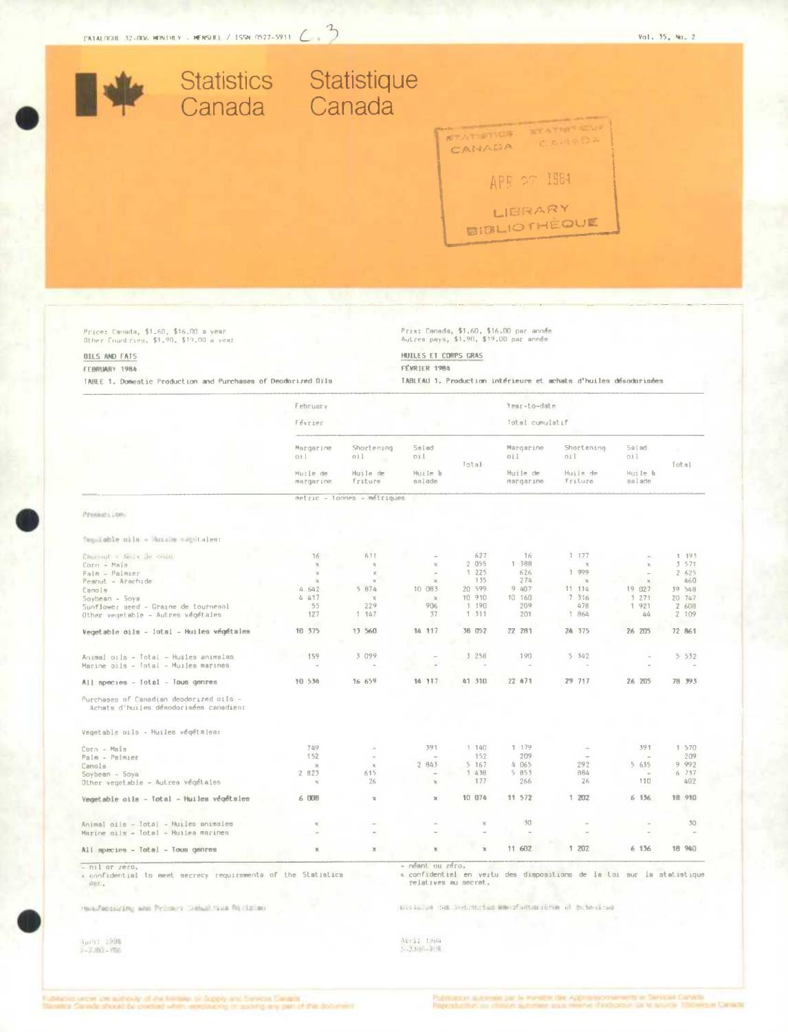

## FEBRUARY 1984

TABLE 1. Domestic Production and Purchases of Deodorized Oils

# FEVRIER 1984

TABLEAU 1. Production intérieure et achats d'huiles désodorisées

| February<br><b>Février</b> |                                                |                                        | Yesr-to-date<br>Total cumulatif             |                                                                           |                                             |                     |                  |
|----------------------------|------------------------------------------------|----------------------------------------|---------------------------------------------|---------------------------------------------------------------------------|---------------------------------------------|---------------------|------------------|
|                            |                                                |                                        |                                             |                                                                           |                                             |                     | Margarine<br>011 |
| Huile de<br>margarine      | Huile de<br>friture                            | Huile à<br>salade                      |                                             | Huile de<br>margarine                                                     | Huile de<br>Friture.                        | Huile à<br>salade   | <b>Total</b>     |
|                            |                                                |                                        |                                             |                                                                           |                                             |                     |                  |
|                            |                                                |                                        |                                             |                                                                           |                                             |                     |                  |
|                            |                                                |                                        |                                             |                                                                           |                                             |                     |                  |
|                            |                                                |                                        |                                             |                                                                           |                                             |                     |                  |
|                            |                                                |                                        |                                             |                                                                           |                                             |                     |                  |
| 16                         | 611                                            |                                        | 627                                         | 16                                                                        | 1.177                                       |                     | 1 193            |
| $\chi$                     | x                                              | $\times$                               | 2 055                                       | 1 388                                                                     | $\chi$                                      | $\mathbb{N}$        | 351              |
| $\mathbb K$                | $\rm X$                                        | $\sim$                                 | 1225                                        | 626                                                                       | 1 999                                       |                     | 2 625            |
| $\chi$                     | $\mathbf{x}$                                   | $\mathbf{x}$                           | 135                                         | 274                                                                       | $\times$                                    | $\mathbb{M}$        | 460              |
| 4 642                      | 5 874                                          | 10 083                                 | 20 599                                      | 9 407                                                                     | 11.114                                      | 19 027              | 39 548           |
| 4417                       | $\mathbf{x}$                                   | $\mathbf x$                            | 10 910                                      | 10 160                                                                    | 7 316                                       | 3271                | 20 747           |
| 55                         | 229                                            | 906                                    | 1 190                                       | 209                                                                       | 47B                                         | 1 921               | 2 608            |
| 127                        | 1 147                                          | 37                                     | 1 311                                       | 201                                                                       | 1 864                                       | 44                  | 2 109            |
| 10 375                     | 13 560                                         | 14 117                                 | 38 052                                      | 22 281                                                                    | 24 375                                      | 26 205              | 72 861           |
|                            |                                                |                                        |                                             |                                                                           |                                             |                     |                  |
|                            |                                                |                                        |                                             |                                                                           |                                             |                     |                  |
|                            |                                                |                                        |                                             |                                                                           |                                             |                     | 5 532            |
| $\sim$                     |                                                |                                        |                                             |                                                                           |                                             |                     |                  |
| 10 534                     | 16 659                                         | 14 117                                 | 41 310                                      | 22 471                                                                    | 29 717                                      | 26 205              | 78 岁3            |
|                            |                                                |                                        |                                             |                                                                           |                                             |                     |                  |
|                            |                                                |                                        |                                             |                                                                           |                                             |                     |                  |
|                            | i.                                             |                                        |                                             |                                                                           |                                             |                     | 1 570            |
|                            |                                                |                                        |                                             |                                                                           |                                             |                     | 209              |
|                            |                                                |                                        |                                             |                                                                           |                                             |                     | 9 992            |
|                            |                                                |                                        |                                             |                                                                           |                                             | $\sim$              | 6 737            |
| $\chi$                     | 26                                             | $\mathbf{x}$                           | 177                                         | 266                                                                       | 26                                          | 110                 | 402              |
| 6 008                      | $\mathbb{R}$                                   | $\mathbbm{X}$                          | 10 074                                      | 11 572                                                                    | 1 202                                       | 6 136               | 18 910           |
|                            |                                                |                                        |                                             |                                                                           |                                             |                     |                  |
|                            |                                                |                                        |                                             |                                                                           |                                             |                     | 30               |
|                            |                                                |                                        |                                             | ÷                                                                         |                                             |                     |                  |
| $\mathbb{X}$               | $\%$                                           |                                        |                                             | 11 602                                                                    | 1 202                                       | 6 136               | 18 940           |
|                            | 159<br>749<br>152<br>$\mathbf x$<br>2 823<br>× | 3 099<br>$\sim$<br>$\mathbb{X}$<br>615 | metric - tonnes - métriques<br>391<br>2 843 | Total<br>3 258<br><b>A</b><br>1.140<br>152<br>5 167<br>5 438<br>$\rtimes$ | 190<br>1 179<br>209<br>4 065<br>5 853<br>30 | 5 342<br>292<br>884 | 391<br>5 635     |

x confidential to meet secrecy requirements of the Statistics  $\Delta\in L$  .

Hundlecoilding and Pelsany Gobal rise filerizion

x confidentiel en vertu des dispositions de la toi sur la statistique<br>relatives au secret.

Division del reductions sancfactorières et plimaires

 $\begin{array}{ll} A_{2}(\alpha,\gamma,1) & \frac{1}{2} \left[ 2 \, \Omega_{\alpha} \right] \\ \frac{1}{2} \left[ 2 \, \frac{1}{2} \, \Omega_{\alpha}^{\alpha} \right] & = \frac{1}{2} \, \Omega_{\alpha}^{\alpha} \end{array}$ 

 $\frac{\lambda_{N,T,1,1}}{\lambda_{N,T,1,2}+\frac{1}{2}(\lambda_{N,T,2})}\geq 1.16$